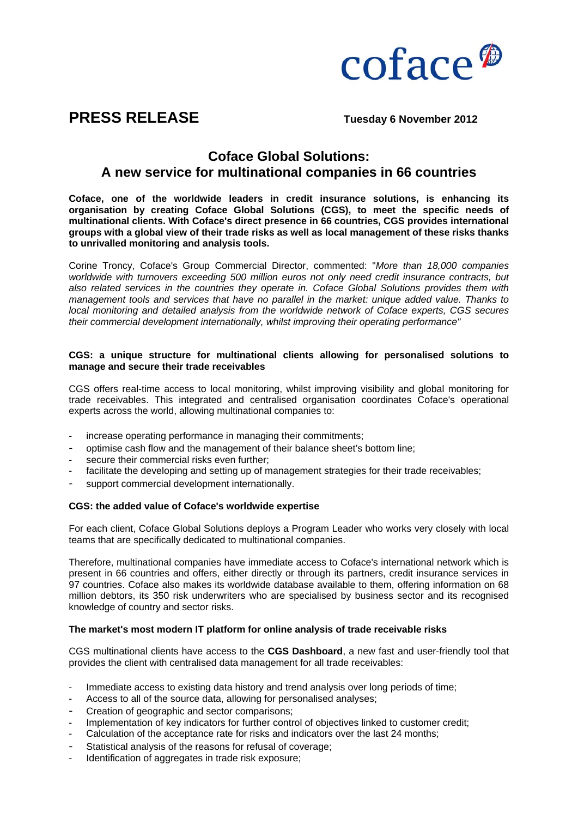

# **PRESS RELEASE** Tuesday 6 November 2012

# **Coface Global Solutions: A new service for multinational companies in 66 countries**

**Coface, one of the worldwide leaders in credit insurance solutions, is enhancing its organisation by creating Coface Global Solutions (CGS), to meet the specific needs of multinational clients. With Coface's direct presence in 66 countries, CGS provides international groups with a global view of their trade risks as well as local management of these risks thanks to unrivalled monitoring and analysis tools.**

Corine Troncy, Coface's Group Commercial Director, commented: "*More than 18,000 companies worldwide with turnovers exceeding 500 million euros not only need credit insurance contracts, but also related services in the countries they operate in. Coface Global Solutions provides them with management tools and services that have no parallel in the market: unique added value. Thanks to local monitoring and detailed analysis from the worldwide network of Coface experts, CGS secures their commercial development internationally, whilst improving their operating performance"*

## **CGS: a unique structure for multinational clients allowing for personalised solutions to manage and secure their trade receivables**

CGS offers real-time access to local monitoring, whilst improving visibility and global monitoring for trade receivables. This integrated and centralised organisation coordinates Coface's operational experts across the world, allowing multinational companies to:

- increase operating performance in managing their commitments;
- optimise cash flow and the management of their balance sheet's bottom line;
- secure their commercial risks even further;
- facilitate the developing and setting up of management strategies for their trade receivables;
- support commercial development internationally.

#### **CGS: the added value of Coface's worldwide expertise**

For each client, Coface Global Solutions deploys a Program Leader who works very closely with local teams that are specifically dedicated to multinational companies.

Therefore, multinational companies have immediate access to Coface's international network which is present in 66 countries and offers, either directly or through its partners, credit insurance services in 97 countries. Coface also makes its worldwide database available to them, offering information on 68 million debtors, its 350 risk underwriters who are specialised by business sector and its recognised knowledge of country and sector risks.

#### **The market's most modern IT platform for online analysis of trade receivable risks**

CGS multinational clients have access to the **CGS Dashboard**, a new fast and user-friendly tool that provides the client with centralised data management for all trade receivables:

- Immediate access to existing data history and trend analysis over long periods of time;
- Access to all of the source data, allowing for personalised analyses;
- Creation of geographic and sector comparisons:
- Implementation of key indicators for further control of objectives linked to customer credit;
- Calculation of the acceptance rate for risks and indicators over the last 24 months;
- Statistical analysis of the reasons for refusal of coverage;
- Identification of aggregates in trade risk exposure;